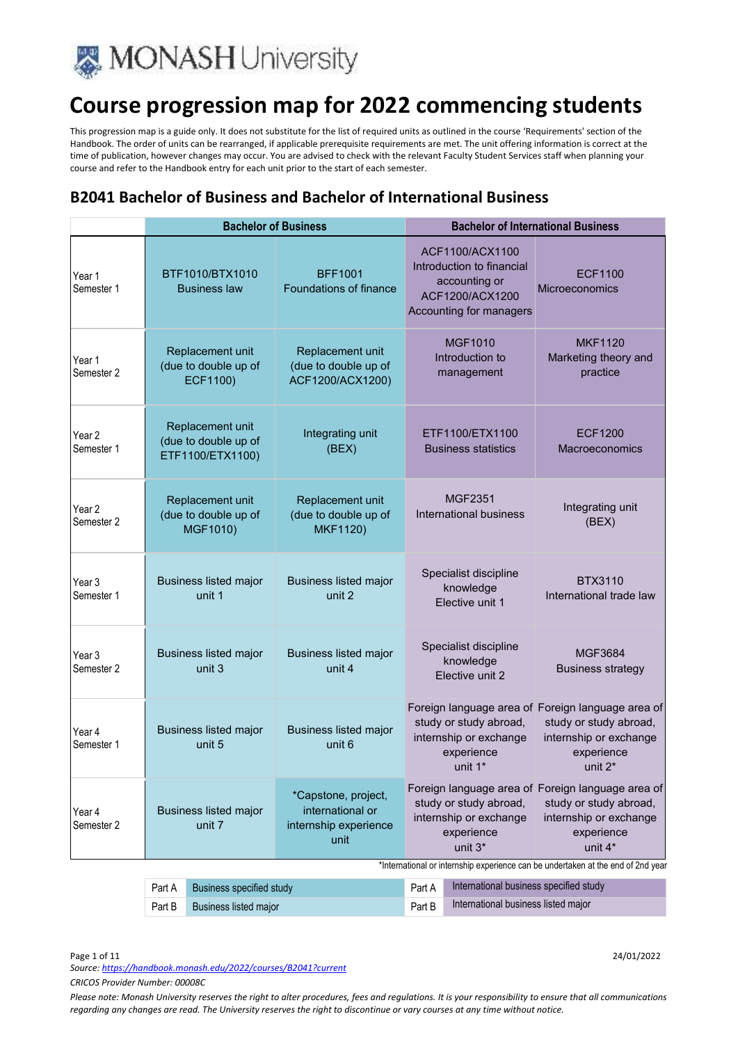

This progression map is a guide only. It does not substitute for the list of required units as outlined in the course 'Requirements' section of the Handbook. The order of units can be rearranged, if applicable prerequisite requirements are met. The unit offering information is correct at the time of publication, however changes may occur. You are advised to check with the relevant Faculty Student Services staff when planning your course and refer to the Handbook entry for each unit prior to the start of each semester.

#### **B2041 Bachelor of Business and Bachelor of International Business**

|                      | <b>Bachelor of Business</b>            |                                                              |                                                                          | <b>Bachelor of International Business</b>                                                                                                               |                                                                                                             |                                                                                  |
|----------------------|----------------------------------------|--------------------------------------------------------------|--------------------------------------------------------------------------|---------------------------------------------------------------------------------------------------------------------------------------------------------|-------------------------------------------------------------------------------------------------------------|----------------------------------------------------------------------------------|
| Year 1<br>Semester 1 |                                        | BTF1010/BTX1010<br><b>Business law</b>                       | <b>BFF1001</b><br>Foundations of finance                                 |                                                                                                                                                         | ACF1100/ACX1100<br>Introduction to financial<br>accounting or<br>ACF1200/ACX1200<br>Accounting for managers | <b>ECF1100</b><br><b>Microeconomics</b>                                          |
| Year 1<br>Semester 2 |                                        | Replacement unit<br>(due to double up of<br>ECF1100)         | Replacement unit<br>(due to double up of<br>ACF1200/ACX1200)             |                                                                                                                                                         | <b>MGF1010</b><br>Introduction to<br>management                                                             | <b>MKF1120</b><br>Marketing theory and<br>practice                               |
| Year 2<br>Semester 1 |                                        | Replacement unit<br>(due to double up of<br>ETF1100/ETX1100) | Integrating unit<br>(BEX)                                                |                                                                                                                                                         | ETF1100/ETX1100<br><b>Business statistics</b>                                                               | ECF1200<br><b>Macroeconomics</b>                                                 |
| Year 2<br>Semester 2 |                                        | Replacement unit<br>(due to double up of<br>MGF1010)         | Replacement unit<br>(due to double up of<br><b>MKF1120)</b>              |                                                                                                                                                         | <b>MGF2351</b><br><b>International business</b>                                                             | Integrating unit<br>(BEX)                                                        |
| Year 3<br>Semester 1 |                                        | <b>Business listed major</b><br>unit 1                       | <b>Business listed major</b><br>unit 2                                   |                                                                                                                                                         | Specialist discipline<br>knowledge<br>Elective unit 1                                                       | <b>BTX3110</b><br>International trade law                                        |
| Year 3<br>Semester 2 |                                        | <b>Business listed major</b><br>unit 3                       | <b>Business listed major</b><br>unit 4                                   |                                                                                                                                                         | Specialist discipline<br>knowledge<br>Elective unit 2                                                       | MGF3684<br><b>Business strategy</b>                                              |
| Year 4<br>Semester 1 |                                        | <b>Business listed major</b><br>unit 5                       | <b>Business listed major</b><br>unit 6                                   | Foreign language area of Foreign language area of<br>study or study abroad,<br>internship or exchange<br>experience<br>experience<br>unit 2*<br>unit 1* |                                                                                                             | study or study abroad,<br>internship or exchange                                 |
| Year 4<br>Semester 2 | <b>Business listed major</b><br>unit 7 |                                                              | *Capstone, project,<br>international or<br>internship experience<br>unit | Foreign language area of Foreign language area of<br>study or study abroad,<br>internship or exchange<br>experience<br>unit 3*                          |                                                                                                             | study or study abroad,<br>internship or exchange<br>experience<br>unit 4*        |
|                      |                                        |                                                              |                                                                          |                                                                                                                                                         |                                                                                                             | *International or internship experience can be undertaken at the end of 2nd year |
|                      | Part A                                 | <b>Business specified study</b>                              |                                                                          | Part A                                                                                                                                                  | International business specified study                                                                      |                                                                                  |

Part B Business listed major Part B International business listed major

Page 1 of 11 24/01/2022

*Source: https://handbook.monash.edu/2022/courses/B2041?current*

*CRICOS Provider Number: 00008C*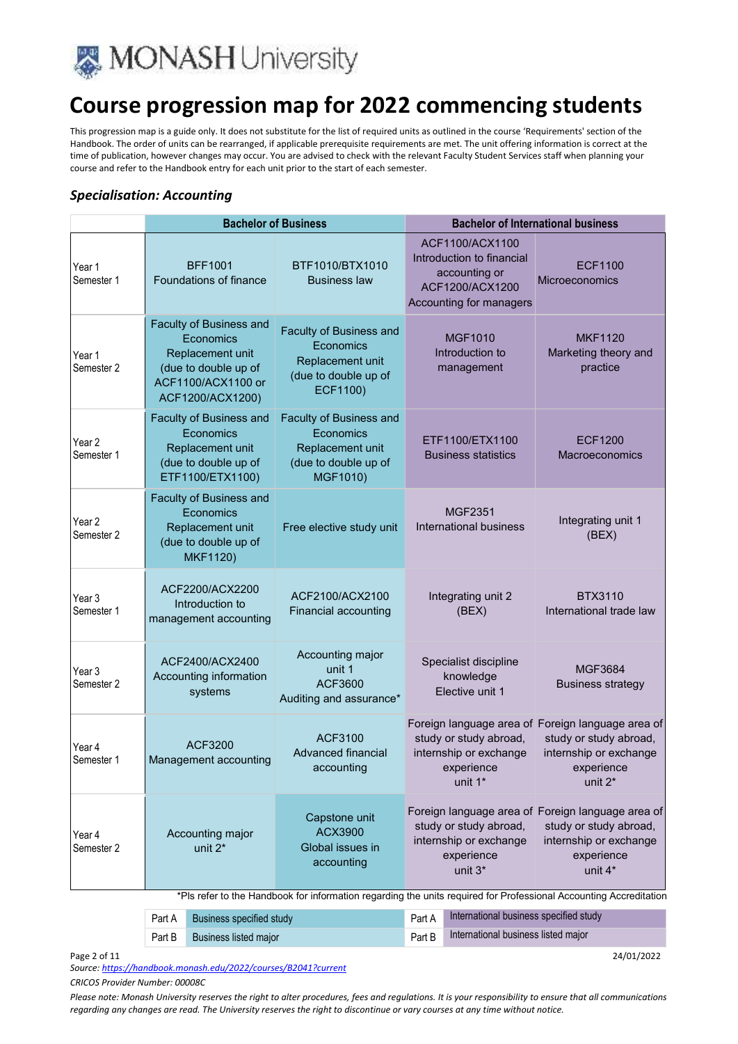

This progression map is a guide only. It does not substitute for the list of required units as outlined in the course 'Requirements' section of the Handbook. The order of units can be rearranged, if applicable prerequisite requirements are met. The unit offering information is correct at the time of publication, however changes may occur. You are advised to check with the relevant Faculty Student Services staff when planning your course and refer to the Handbook entry for each unit prior to the start of each semester.

#### *Specialisation: Accounting*

|                                 | <b>Bachelor of Business</b>                                                                                                |                                                                                              | <b>Bachelor of International business</b>                                                                                                                                                      |                                                                                                                                            |
|---------------------------------|----------------------------------------------------------------------------------------------------------------------------|----------------------------------------------------------------------------------------------|------------------------------------------------------------------------------------------------------------------------------------------------------------------------------------------------|--------------------------------------------------------------------------------------------------------------------------------------------|
| Year 1<br>Semester 1            | <b>BFF1001</b><br>Foundations of finance                                                                                   | BTF1010/BTX1010<br><b>Business law</b>                                                       | ACF1100/ACX1100<br>Introduction to financial<br>accounting or<br>ACF1200/ACX1200<br>Accounting for managers                                                                                    | <b>ECF1100</b><br>Microeconomics                                                                                                           |
| Year 1<br>Semester 2            | Faculty of Business and<br>Economics<br>Replacement unit<br>(due to double up of<br>ACF1100/ACX1100 or<br>ACF1200/ACX1200) | Faculty of Business and<br>Economics<br>Replacement unit<br>(due to double up of<br>ECF1100) | <b>MGF1010</b><br>Introduction to<br>management                                                                                                                                                | <b>MKF1120</b><br>Marketing theory and<br>practice                                                                                         |
| Year <sub>2</sub><br>Semester 1 | Faculty of Business and<br>Economics<br>Replacement unit<br>(due to double up of<br>ETF1100/ETX1100)                       | Faculty of Business and<br>Economics<br>Replacement unit<br>(due to double up of<br>MGF1010) | ETF1100/ETX1100<br><b>Business statistics</b>                                                                                                                                                  | <b>ECF1200</b><br>Macroeconomics                                                                                                           |
| Year 2<br>Semester 2            | Faculty of Business and<br>Economics<br>Replacement unit<br>(due to double up of<br><b>MKF1120)</b>                        | Free elective study unit                                                                     | <b>MGF2351</b><br><b>International business</b>                                                                                                                                                | Integrating unit 1<br>(BEX)                                                                                                                |
| Year 3<br>Semester 1            | ACF2200/ACX2200<br>Introduction to<br>management accounting                                                                | ACF2100/ACX2100<br>Financial accounting                                                      | Integrating unit 2<br>(BEX)                                                                                                                                                                    | <b>BTX3110</b><br>International trade law                                                                                                  |
| Year 3<br>Semester 2            | ACF2400/ACX2400<br>Accounting information<br>systems                                                                       | Accounting major<br>unit 1<br><b>ACF3600</b><br>Auditing and assurance*                      | Specialist discipline<br>knowledge<br>Elective unit 1                                                                                                                                          | MGF3684<br><b>Business strategy</b>                                                                                                        |
| Year 4<br>Semester 1            | ACF3200<br>Management accounting                                                                                           | ACF3100<br><b>Advanced financial</b><br>accounting                                           | study or study abroad,<br>internship or exchange<br>experience<br>unit 1*                                                                                                                      | Foreign language area of Foreign language area of<br>study or study abroad,<br>internship or exchange<br>experience<br>unit 2 <sup>*</sup> |
| Year 4<br>Semester 2            | Accounting major<br>unit 2*                                                                                                | Capstone unit<br>ACX3900<br>Global issues in<br>accounting                                   | study or study abroad,<br>internship or exchange<br>experience<br>unit 3*<br>*Pls refer to the Handbook for information regarding the units required for Professional Accounting Accreditation | Foreign language area of Foreign language area of<br>study or study abroad,<br>internship or exchange<br>experience<br>unit 4*             |

|        | <b>Part A</b> Business specified study | Part A | International business specified study |
|--------|----------------------------------------|--------|----------------------------------------|
| Part B | <b>Business listed major</b>           | Part B | International business listed major    |

Page 2 of 11 24/01/2022

*Source: https://handbook.monash.edu/2022/courses/B2041?current*

*CRICOS Provider Number: 00008C*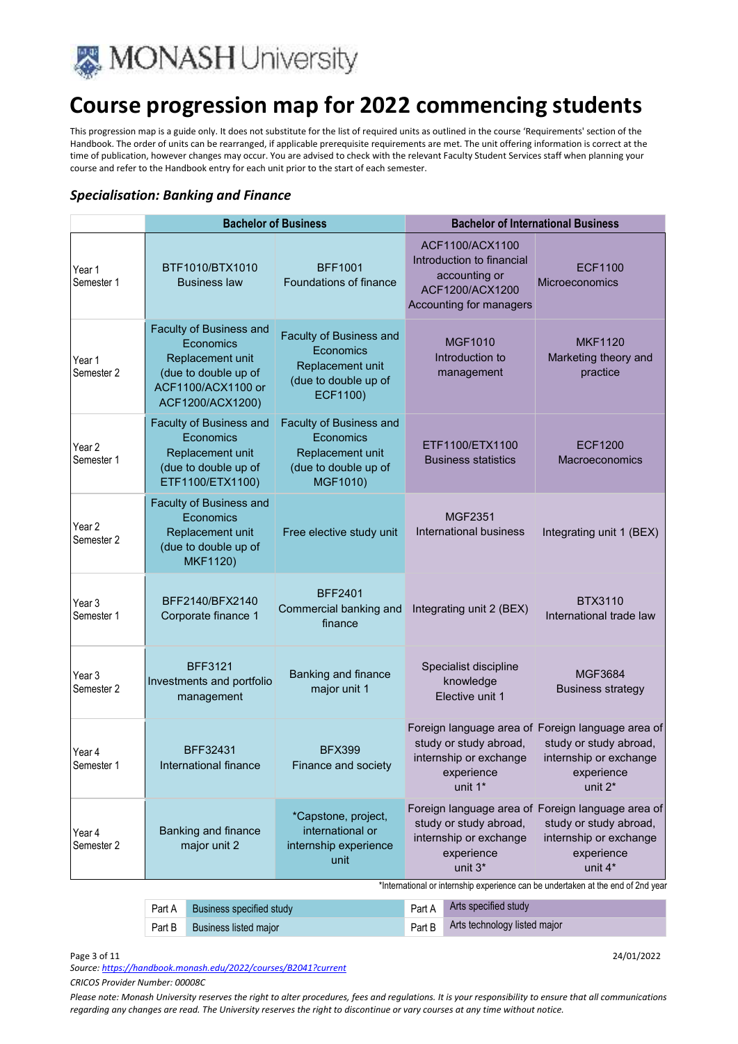

This progression map is a guide only. It does not substitute for the list of required units as outlined in the course 'Requirements' section of the Handbook. The order of units can be rearranged, if applicable prerequisite requirements are met. The unit offering information is correct at the time of publication, however changes may occur. You are advised to check with the relevant Faculty Student Services staff when planning your course and refer to the Handbook entry for each unit prior to the start of each semester.

#### *Specialisation: Banking and Finance*

|                                 | <b>Bachelor of Business</b>         |                                                                                                                            | <b>Bachelor of International Business</b>                                                    |                                                                                                                                |                                                                                                             |                                                                                  |
|---------------------------------|-------------------------------------|----------------------------------------------------------------------------------------------------------------------------|----------------------------------------------------------------------------------------------|--------------------------------------------------------------------------------------------------------------------------------|-------------------------------------------------------------------------------------------------------------|----------------------------------------------------------------------------------|
| Year 1<br>Semester 1            |                                     | BTF1010/BTX1010<br><b>Business law</b>                                                                                     | <b>BFF1001</b><br>Foundations of finance                                                     |                                                                                                                                | ACF1100/ACX1100<br>Introduction to financial<br>accounting or<br>ACF1200/ACX1200<br>Accounting for managers | <b>ECF1100</b><br>Microeconomics                                                 |
| Year 1<br>Semester 2            |                                     | Faculty of Business and<br>Economics<br>Replacement unit<br>(due to double up of<br>ACF1100/ACX1100 or<br>ACF1200/ACX1200) | Faculty of Business and<br>Economics<br>Replacement unit<br>(due to double up of<br>ECF1100) | <b>MGF1010</b><br>Introduction to<br>management                                                                                |                                                                                                             | <b>MKF1120</b><br>Marketing theory and<br>practice                               |
| Year <sub>2</sub><br>Semester 1 |                                     | Faculty of Business and<br>Economics<br>Replacement unit<br>(due to double up of<br>ETF1100/ETX1100)                       | Faculty of Business and<br>Economics<br>Replacement unit<br>(due to double up of<br>MGF1010) |                                                                                                                                | ETF1100/ETX1100<br><b>Business statistics</b>                                                               | <b>ECF1200</b><br>Macroeconomics                                                 |
| Year <sub>2</sub><br>Semester 2 |                                     | Faculty of Business and<br>Economics<br>Replacement unit<br>(due to double up of<br><b>MKF1120)</b>                        | Free elective study unit                                                                     |                                                                                                                                | <b>MGF2351</b><br>International business                                                                    | Integrating unit 1 (BEX)                                                         |
| Year 3<br>Semester 1            |                                     | BFF2140/BFX2140<br>Corporate finance 1                                                                                     | <b>BFF2401</b><br>Commercial banking and<br>finance                                          |                                                                                                                                | Integrating unit 2 (BEX)                                                                                    | <b>BTX3110</b><br>International trade law                                        |
| Year 3<br>Semester 2            |                                     | <b>BFF3121</b><br>Investments and portfolio<br>management                                                                  | Banking and finance<br>major unit 1                                                          |                                                                                                                                | Specialist discipline<br>knowledge<br>Elective unit 1                                                       | <b>MGF3684</b><br><b>Business strategy</b>                                       |
| Year 4<br>Semester 1            |                                     | BFF32431<br>International finance                                                                                          | <b>BFX399</b><br>Finance and society                                                         | Foreign language area of Foreign language area of<br>study or study abroad,<br>internship or exchange<br>experience<br>unit 1* |                                                                                                             | study or study abroad,<br>internship or exchange<br>experience<br>unit 2*        |
| Year 4<br>Semester 2            | Banking and finance<br>major unit 2 |                                                                                                                            | *Capstone, project,<br>international or<br>internship experience<br>unit                     | Foreign language area of Foreign language area of<br>study or study abroad,<br>internship or exchange<br>experience<br>unit 3* |                                                                                                             | study or study abroad,<br>internship or exchange<br>experience<br>unit 4*        |
|                                 |                                     |                                                                                                                            |                                                                                              |                                                                                                                                |                                                                                                             | *International or internship experience can be undertaken at the end of 2nd year |
|                                 | Part A                              | <b>Business specified study</b>                                                                                            |                                                                                              | Part A                                                                                                                         | Arts specified study                                                                                        |                                                                                  |

*Source: https://handbook.monash.edu/2022/courses/B2041?current*

Page 3 of 11 24/01/2022

*CRICOS Provider Number: 00008C* 

*Please note: Monash University reserves the right to alter procedures, fees and regulations. It is your responsibility to ensure that all communications regarding any changes are read. The University reserves the right to discontinue or vary courses at any time without notice.*

Part B Business listed major Part B Arts technology listed major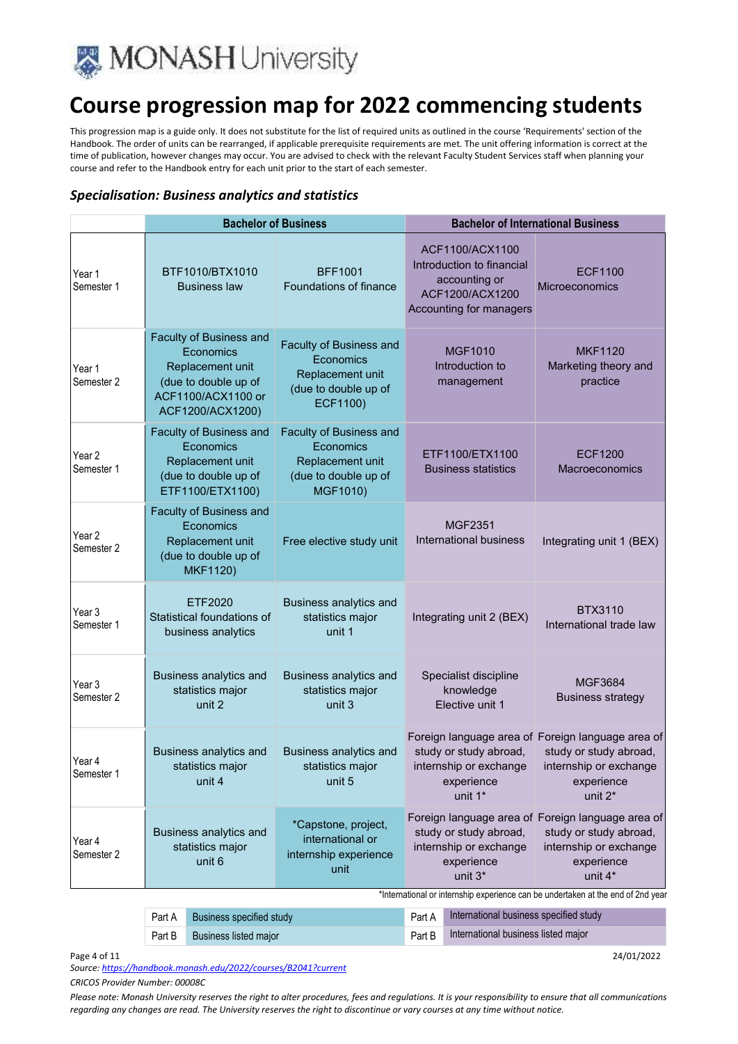

This progression map is a guide only. It does not substitute for the list of required units as outlined in the course 'Requirements' section of the Handbook. The order of units can be rearranged, if applicable prerequisite requirements are met. The unit offering information is correct at the time of publication, however changes may occur. You are advised to check with the relevant Faculty Student Services staff when planning your course and refer to the Handbook entry for each unit prior to the start of each semester.

#### *Specialisation: Business analytics and statistics*

|                      | <b>Bachelor of Business</b>                                                                                                |                                                                                              | <b>Bachelor of International Business</b>                                                                                                                    |                                                                                                                                |
|----------------------|----------------------------------------------------------------------------------------------------------------------------|----------------------------------------------------------------------------------------------|--------------------------------------------------------------------------------------------------------------------------------------------------------------|--------------------------------------------------------------------------------------------------------------------------------|
| Year 1<br>Semester 1 | BTF1010/BTX1010<br><b>Business law</b>                                                                                     | <b>BFF1001</b><br>Foundations of finance                                                     | ACF1100/ACX1100<br>Introduction to financial<br>accounting or<br>ACF1200/ACX1200<br>Accounting for managers                                                  | <b>ECF1100</b><br>Microeconomics                                                                                               |
| Year 1<br>Semester 2 | Faculty of Business and<br>Economics<br>Replacement unit<br>(due to double up of<br>ACF1100/ACX1100 or<br>ACF1200/ACX1200) | Faculty of Business and<br>Economics<br>Replacement unit<br>(due to double up of<br>ECF1100) | <b>MGF1010</b><br>Introduction to<br>management                                                                                                              | <b>MKF1120</b><br>Marketing theory and<br>practice                                                                             |
| Year 2<br>Semester 1 | Faculty of Business and<br>Economics<br>Replacement unit<br>(due to double up of<br>ETF1100/ETX1100)                       | Faculty of Business and<br>Economics<br>Replacement unit<br>(due to double up of<br>MGF1010) | ETF1100/ETX1100<br><b>Business statistics</b>                                                                                                                | ECF1200<br>Macroeconomics                                                                                                      |
| Year 2<br>Semester 2 | Faculty of Business and<br>Economics<br>Replacement unit<br>(due to double up of<br><b>MKF1120)</b>                        | Free elective study unit                                                                     | <b>MGF2351</b><br><b>International business</b>                                                                                                              | Integrating unit 1 (BEX)                                                                                                       |
| Year 3<br>Semester 1 | ETF2020<br>Statistical foundations of<br>business analytics                                                                | Business analytics and<br>statistics major<br>unit 1                                         | Integrating unit 2 (BEX)                                                                                                                                     | <b>BTX3110</b><br>International trade law                                                                                      |
| Year 3<br>Semester 2 | Business analytics and<br>statistics major<br>unit 2                                                                       | Business analytics and<br>statistics major<br>unit 3                                         | Specialist discipline<br>knowledge<br>Elective unit 1                                                                                                        | <b>MGF3684</b><br><b>Business strategy</b>                                                                                     |
| Year 4<br>Semester 1 | <b>Business analytics and</b><br>statistics major<br>unit 4                                                                | Business analytics and<br>statistics major<br>unit 5                                         | study or study abroad,<br>internship or exchange<br>experience<br>unit 1*                                                                                    | Foreign language area of Foreign language area of<br>study or study abroad,<br>internship or exchange<br>experience<br>unit 2* |
| Year 4<br>Semester 2 | <b>Business analytics and</b><br>statistics major<br>unit 6                                                                | *Capstone, project,<br>international or<br>internship experience<br>unit                     | study or study abroad,<br>internship or exchange<br>experience<br>unit 3*<br>*International or internship experience can be undertaken at the end of 2nd yea | Foreign language area of Foreign language area of<br>study or study abroad,<br>internship or exchange<br>experience<br>unit 4* |

| Part A Business specified study | Part A International business specified study |
|---------------------------------|-----------------------------------------------|
| Part B Business listed major    | Part B International business listed major    |

Page 4 of 11 24/01/2022

*Source: https://handbook.monash.edu/2022/courses/B2041?current*

*CRICOS Provider Number: 00008C*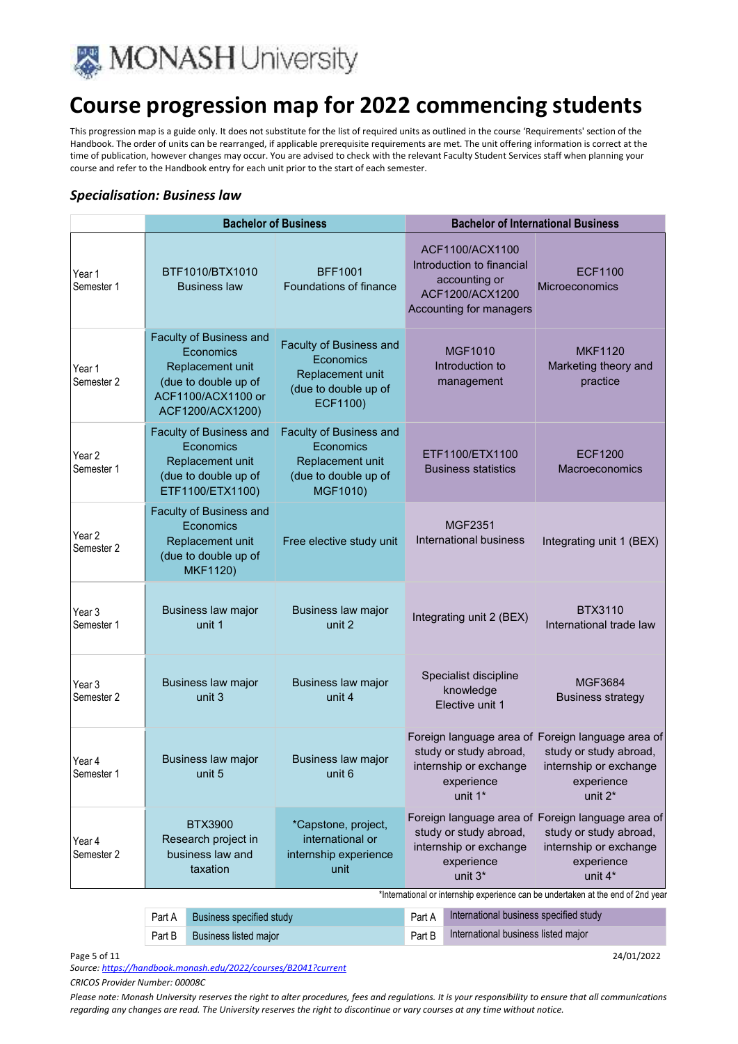

This progression map is a guide only. It does not substitute for the list of required units as outlined in the course 'Requirements' section of the Handbook. The order of units can be rearranged, if applicable prerequisite requirements are met. The unit offering information is correct at the time of publication, however changes may occur. You are advised to check with the relevant Faculty Student Services staff when planning your course and refer to the Handbook entry for each unit prior to the start of each semester.

#### *Specialisation: Business law*

|                                 | <b>Bachelor of Business</b>                                                                                                |                                                                                              | <b>Bachelor of International Business</b>                                                                                                                     |                                                                                                                                |
|---------------------------------|----------------------------------------------------------------------------------------------------------------------------|----------------------------------------------------------------------------------------------|---------------------------------------------------------------------------------------------------------------------------------------------------------------|--------------------------------------------------------------------------------------------------------------------------------|
| Year 1<br>Semester 1            | BTF1010/BTX1010<br><b>Business law</b>                                                                                     | <b>BFF1001</b><br>Foundations of finance                                                     | ACF1100/ACX1100<br>Introduction to financial<br>accounting or<br>ACF1200/ACX1200<br>Accounting for managers                                                   | <b>ECF1100</b><br>Microeconomics                                                                                               |
| Year 1<br>Semester 2            | Faculty of Business and<br>Economics<br>Replacement unit<br>(due to double up of<br>ACF1100/ACX1100 or<br>ACF1200/ACX1200) | Faculty of Business and<br>Economics<br>Replacement unit<br>(due to double up of<br>ECF1100) | <b>MGF1010</b><br>Introduction to<br>management                                                                                                               | <b>MKF1120</b><br>Marketing theory and<br>practice                                                                             |
| Year <sub>2</sub><br>Semester 1 | Faculty of Business and<br>Economics<br>Replacement unit<br>(due to double up of<br>ETF1100/ETX1100)                       | Faculty of Business and<br>Economics<br>Replacement unit<br>(due to double up of<br>MGF1010) | ETF1100/ETX1100<br><b>Business statistics</b>                                                                                                                 | <b>ECF1200</b><br>Macroeconomics                                                                                               |
| Year <sub>2</sub><br>Semester 2 | Faculty of Business and<br>Economics<br>Replacement unit<br>(due to double up of<br><b>MKF1120)</b>                        | Free elective study unit                                                                     | <b>MGF2351</b><br>International business                                                                                                                      | Integrating unit 1 (BEX)                                                                                                       |
| Year 3<br>Semester 1            | Business law major<br>unit 1                                                                                               | Business law major<br>unit 2                                                                 | Integrating unit 2 (BEX)                                                                                                                                      | <b>BTX3110</b><br>International trade law                                                                                      |
| Year <sub>3</sub><br>Semester 2 | Business law major<br>unit 3                                                                                               | Business law major<br>unit 4                                                                 | Specialist discipline<br>knowledge<br>Elective unit 1                                                                                                         | MGF3684<br><b>Business strategy</b>                                                                                            |
| Year 4<br>Semester 1            | Business law major<br>unit 5                                                                                               | Business law major<br>unit 6                                                                 | study or study abroad,<br>internship or exchange<br>experience<br>unit 1*                                                                                     | Foreign language area of Foreign language area of<br>study or study abroad,<br>internship or exchange<br>experience<br>unit 2* |
| Year 4<br>Semester 2            | <b>BTX3900</b><br>Research project in<br>business law and<br>taxation                                                      | *Capstone, project,<br>international or<br>internship experience<br>unit                     | study or study abroad,<br>internship or exchange<br>experience<br>unit 3*<br>*International or internship experience can be undertaken at the end of 2nd year | Foreign language area of Foreign language area of<br>study or study abroad,<br>internship or exchange<br>experience<br>unit 4* |

| Part A | Business specified study     | Part A International business specified study |
|--------|------------------------------|-----------------------------------------------|
| Part B | <b>Business listed major</b> | Part B International business listed major    |

Page 5 of 11 24/01/2022

*Source: https://handbook.monash.edu/2022/courses/B2041?current*

*CRICOS Provider Number: 00008C*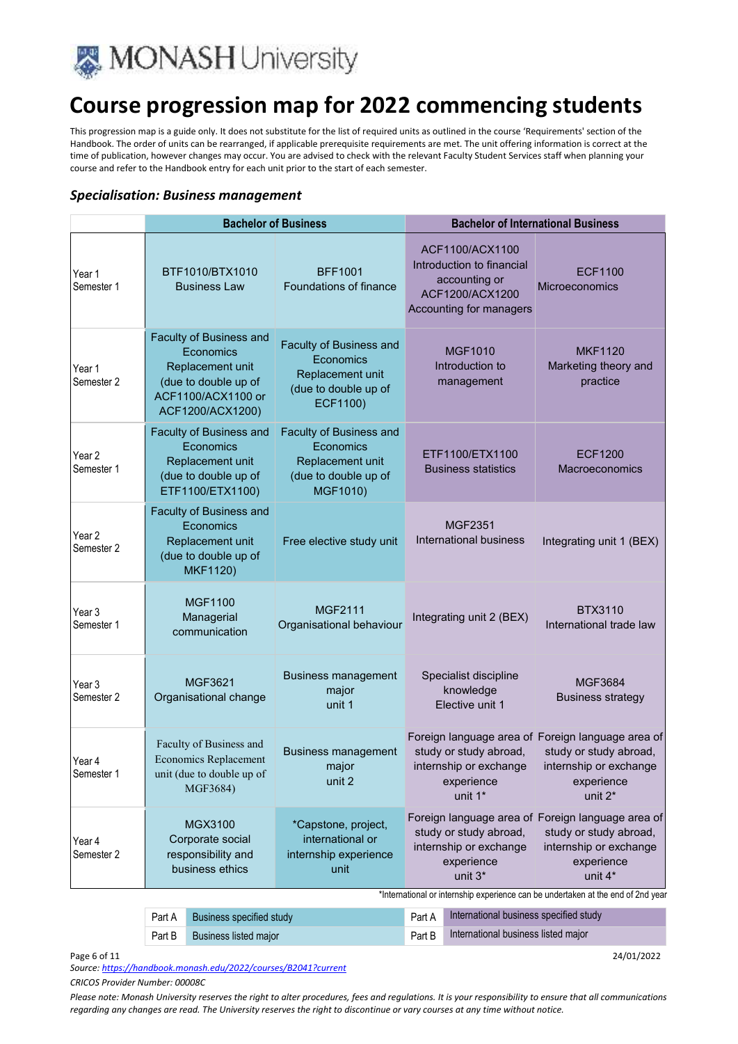

This progression map is a guide only. It does not substitute for the list of required units as outlined in the course 'Requirements' section of the Handbook. The order of units can be rearranged, if applicable prerequisite requirements are met. The unit offering information is correct at the time of publication, however changes may occur. You are advised to check with the relevant Faculty Student Services staff when planning your course and refer to the Handbook entry for each unit prior to the start of each semester.

#### *Specialisation: Business management*

|                      | <b>Bachelor of Business</b>                                                                                                |                                                                                                     | <b>Bachelor of International Business</b>                                                                                                                    |                                                                                                                                |
|----------------------|----------------------------------------------------------------------------------------------------------------------------|-----------------------------------------------------------------------------------------------------|--------------------------------------------------------------------------------------------------------------------------------------------------------------|--------------------------------------------------------------------------------------------------------------------------------|
| Year 1<br>Semester 1 | BTF1010/BTX1010<br><b>Business Law</b>                                                                                     | <b>BFF1001</b><br>Foundations of finance                                                            | ACF1100/ACX1100<br>Introduction to financial<br>accounting or<br>ACF1200/ACX1200<br>Accounting for managers                                                  | <b>ECF1100</b><br>Microeconomics                                                                                               |
| Year 1<br>Semester 2 | Faculty of Business and<br>Economics<br>Replacement unit<br>(due to double up of<br>ACF1100/ACX1100 or<br>ACF1200/ACX1200) | <b>Faculty of Business and</b><br>Economics<br>Replacement unit<br>(due to double up of<br>ECF1100) | <b>MGF1010</b><br>Introduction to<br>management                                                                                                              | <b>MKF1120</b><br>Marketing theory and<br>practice                                                                             |
| Year 2<br>Semester 1 | Faculty of Business and<br>Economics<br>Replacement unit<br>(due to double up of<br>ETF1100/ETX1100)                       | Faculty of Business and<br>Economics<br>Replacement unit<br>(due to double up of<br>MGF1010)        | ETF1100/ETX1100<br><b>Business statistics</b>                                                                                                                | <b>ECF1200</b><br>Macroeconomics                                                                                               |
| Year 2<br>Semester 2 | Faculty of Business and<br>Economics<br>Replacement unit<br>(due to double up of<br><b>MKF1120)</b>                        | Free elective study unit                                                                            | <b>MGF2351</b><br><b>International business</b>                                                                                                              | Integrating unit 1 (BEX)                                                                                                       |
| Year 3<br>Semester 1 | <b>MGF1100</b><br>Managerial<br>communication                                                                              | <b>MGF2111</b><br>Organisational behaviour                                                          | Integrating unit 2 (BEX)                                                                                                                                     | <b>BTX3110</b><br>International trade law                                                                                      |
| Year 3<br>Semester 2 | <b>MGF3621</b><br>Organisational change                                                                                    | <b>Business management</b><br>major<br>unit 1                                                       | Specialist discipline<br>knowledge<br>Elective unit 1                                                                                                        | MGF3684<br><b>Business strategy</b>                                                                                            |
| Year 4<br>Semester 1 | Faculty of Business and<br><b>Economics Replacement</b><br>unit (due to double up of<br>MGF3684)                           | <b>Business management</b><br>major<br>unit 2                                                       | study or study abroad,<br>internship or exchange<br>experience<br>unit 1*                                                                                    | Foreign language area of Foreign language area of<br>study or study abroad,<br>internship or exchange<br>experience<br>unit 2* |
| Year 4<br>Semester 2 | MGX3100<br>Corporate social<br>responsibility and<br>business ethics                                                       | *Capstone, project,<br>international or<br>internship experience<br>unit                            | study or study abroad,<br>internship or exchange<br>experience<br>unit 3*<br>*International or internship experience can be undertaken at the end of 2nd yea | Foreign language area of Foreign language area of<br>study or study abroad,<br>internship or exchange<br>experience<br>unit 4* |

| Part A Business specified study     | Part A International business specified study |
|-------------------------------------|-----------------------------------------------|
| <b>Part B</b> Business listed major | Part B International business listed major    |

Page 6 of 11 24/01/2022

*Source: https://handbook.monash.edu/2022/courses/B2041?current*

*CRICOS Provider Number: 00008C*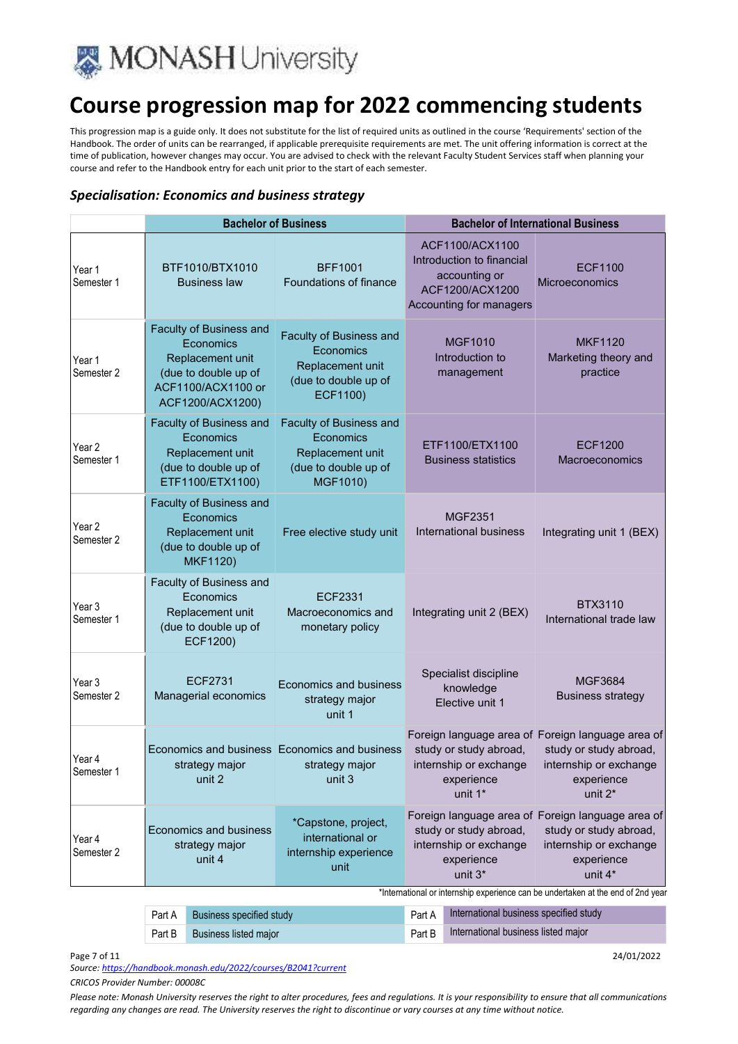

This progression map is a guide only. It does not substitute for the list of required units as outlined in the course 'Requirements' section of the Handbook. The order of units can be rearranged, if applicable prerequisite requirements are met. The unit offering information is correct at the time of publication, however changes may occur. You are advised to check with the relevant Faculty Student Services staff when planning your course and refer to the Handbook entry for each unit prior to the start of each semester.

#### *Specialisation: Economics and business strategy*

|                                 | <b>Bachelor of Business</b>                                                                                                |                                                                                              | <b>Bachelor of International Business</b>                                                                   |                                                                                                                                |
|---------------------------------|----------------------------------------------------------------------------------------------------------------------------|----------------------------------------------------------------------------------------------|-------------------------------------------------------------------------------------------------------------|--------------------------------------------------------------------------------------------------------------------------------|
| Year 1<br>Semester 1            | BTF1010/BTX1010<br><b>Business law</b>                                                                                     | <b>BFF1001</b><br>Foundations of finance                                                     | ACF1100/ACX1100<br>Introduction to financial<br>accounting or<br>ACF1200/ACX1200<br>Accounting for managers | ECF1100<br>Microeconomics                                                                                                      |
| Year 1<br>Semester 2            | Faculty of Business and<br>Economics<br>Replacement unit<br>(due to double up of<br>ACF1100/ACX1100 or<br>ACF1200/ACX1200) | Faculty of Business and<br>Economics<br>Replacement unit<br>(due to double up of<br>ECF1100) | <b>MGF1010</b><br>Introduction to<br>management                                                             | <b>MKF1120</b><br>Marketing theory and<br>practice                                                                             |
| Year <sub>2</sub><br>Semester 1 | Faculty of Business and<br>Economics<br>Replacement unit<br>(due to double up of<br>ETF1100/ETX1100)                       | Faculty of Business and<br>Economics<br>Replacement unit<br>(due to double up of<br>MGF1010) | ETF1100/ETX1100<br><b>Business statistics</b>                                                               | <b>ECF1200</b><br>Macroeconomics                                                                                               |
| Year 2<br>Semester 2            | Faculty of Business and<br>Economics<br>Replacement unit<br>(due to double up of<br>MKF1120)                               | Free elective study unit                                                                     | <b>MGF2351</b><br><b>International business</b>                                                             | Integrating unit 1 (BEX)                                                                                                       |
| Year 3<br>Semester 1            | Faculty of Business and<br>Economics<br>Replacement unit<br>(due to double up of<br><b>ECF1200)</b>                        | ECF2331<br>Macroeconomics and<br>monetary policy                                             | Integrating unit 2 (BEX)                                                                                    | <b>BTX3110</b><br>International trade law                                                                                      |
| Year 3<br>Semester 2            | <b>ECF2731</b><br>Managerial economics                                                                                     | Economics and business<br>strategy major<br>unit 1                                           | Specialist discipline<br>knowledge<br>Elective unit 1                                                       | <b>MGF3684</b><br><b>Business strategy</b>                                                                                     |
| Year 4<br>Semester 1            | Economics and business Economics and business<br>strategy major<br>unit 2                                                  | strategy major<br>unit 3                                                                     | study or study abroad,<br>internship or exchange<br>experience<br>unit 1*                                   | Foreign language area of Foreign language area of<br>study or study abroad,<br>internship or exchange<br>experience<br>unit 2* |
| Year 4<br>Semester 2            | Economics and business<br>strategy major<br>unit 4                                                                         | *Capstone, project,<br>international or<br>internship experience<br>unit                     | study or study abroad,<br>internship or exchange<br>experience<br>unit 3*                                   | Foreign language area of Foreign language area of<br>study or study abroad,<br>internship or exchange<br>experience<br>unit 4* |
|                                 |                                                                                                                            |                                                                                              | *International or internship experience can be undertaken at the end of 2nd year                            |                                                                                                                                |

| Part A | Business specified study     | Part A International business specified study               |
|--------|------------------------------|-------------------------------------------------------------|
|        | Part B Business listed major | <b>Example 2 Part B</b> International business listed major |

Page 7 of 11 24/01/2022

*Source: https://handbook.monash.edu/2022/courses/B2041?current*

*CRICOS Provider Number: 00008C*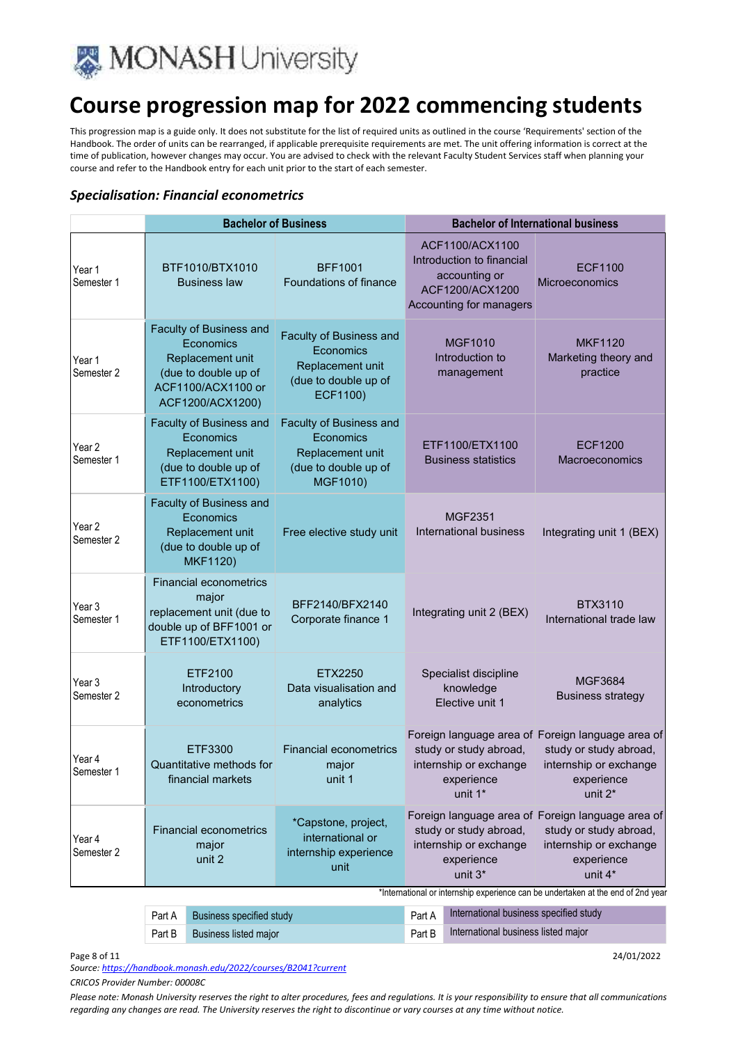

This progression map is a guide only. It does not substitute for the list of required units as outlined in the course 'Requirements' section of the Handbook. The order of units can be rearranged, if applicable prerequisite requirements are met. The unit offering information is correct at the time of publication, however changes may occur. You are advised to check with the relevant Faculty Student Services staff when planning your course and refer to the Handbook entry for each unit prior to the start of each semester.

#### *Specialisation: Financial econometrics*

|                                                                                                                            | <b>Bachelor of Business</b>                                                                                                |                                                                                              | <b>Bachelor of International business</b>                                                                   |                                                                                                                                |
|----------------------------------------------------------------------------------------------------------------------------|----------------------------------------------------------------------------------------------------------------------------|----------------------------------------------------------------------------------------------|-------------------------------------------------------------------------------------------------------------|--------------------------------------------------------------------------------------------------------------------------------|
| Year 1<br>Semester 1                                                                                                       | BTF1010/BTX1010<br><b>Business law</b>                                                                                     | <b>BFF1001</b><br>Foundations of finance                                                     | ACF1100/ACX1100<br>Introduction to financial<br>accounting or<br>ACF1200/ACX1200<br>Accounting for managers | ECF1100<br>Microeconomics                                                                                                      |
| Year 1<br>Semester 2                                                                                                       | Faculty of Business and<br>Economics<br>Replacement unit<br>(due to double up of<br>ACF1100/ACX1100 or<br>ACF1200/ACX1200) | Faculty of Business and<br>Economics<br>Replacement unit<br>(due to double up of<br>ECF1100) | MGF1010<br>Introduction to<br>management                                                                    | <b>MKF1120</b><br>Marketing theory and<br>practice                                                                             |
| Year <sub>2</sub><br>Semester 1                                                                                            | Faculty of Business and<br>Economics<br>Replacement unit<br>(due to double up of<br>ETF1100/ETX1100)                       | Faculty of Business and<br>Economics<br>Replacement unit<br>(due to double up of<br>MGF1010) | ETF1100/ETX1100<br><b>Business statistics</b>                                                               | <b>ECF1200</b><br>Macroeconomics                                                                                               |
| Year <sub>2</sub><br>Semester 2                                                                                            | Faculty of Business and<br>Economics<br>Replacement unit<br>(due to double up of<br><b>MKF1120)</b>                        | Free elective study unit                                                                     | <b>MGF2351</b><br>International business                                                                    | Integrating unit 1 (BEX)                                                                                                       |
| Year 3<br>Semester 1                                                                                                       | <b>Financial econometrics</b><br>major<br>replacement unit (due to<br>double up of BFF1001 or<br>ETF1100/ETX1100)          | BFF2140/BFX2140<br>Corporate finance 1                                                       | Integrating unit 2 (BEX)                                                                                    | <b>BTX3110</b><br>International trade law                                                                                      |
| Year <sub>3</sub><br>Semester 2                                                                                            | ETF2100<br>Introductory<br>econometrics                                                                                    | ETX2250<br>Data visualisation and<br>analytics                                               | Specialist discipline<br>knowledge<br>Elective unit 1                                                       | <b>MGF3684</b><br><b>Business strategy</b>                                                                                     |
| Year 4<br>Semester 1                                                                                                       | ETF3300<br>Quantitative methods for<br>financial markets                                                                   | <b>Financial econometrics</b><br>major<br>unit 1                                             | study or study abroad,<br>internship or exchange<br>experience<br>unit 1*                                   | Foreign language area of Foreign language area of<br>study or study abroad,<br>internship or exchange<br>experience<br>unit 2* |
| Year 4<br>Semester 2                                                                                                       | <b>Financial econometrics</b><br>major<br>unit 2                                                                           | *Capstone, project,<br>international or<br>internship experience<br>unit                     | study or study abroad,<br>internship or exchange<br>experience<br>unit 3*                                   | Foreign language area of Foreign language area of<br>study or study abroad,<br>internship or exchange<br>experience<br>unit 4* |
| *International or internship experience can be undertaken at the end of 2nd year<br>International huginese enecitied study |                                                                                                                            |                                                                                              |                                                                                                             |                                                                                                                                |

| Part A | Business specified study | Part A International business specified study |
|--------|--------------------------|-----------------------------------------------|
| Part B | Business listed major    | Part B International business listed major    |

Page 8 of 11 24/01/2022

*Source: https://handbook.monash.edu/2022/courses/B2041?current*

*CRICOS Provider Number: 00008C*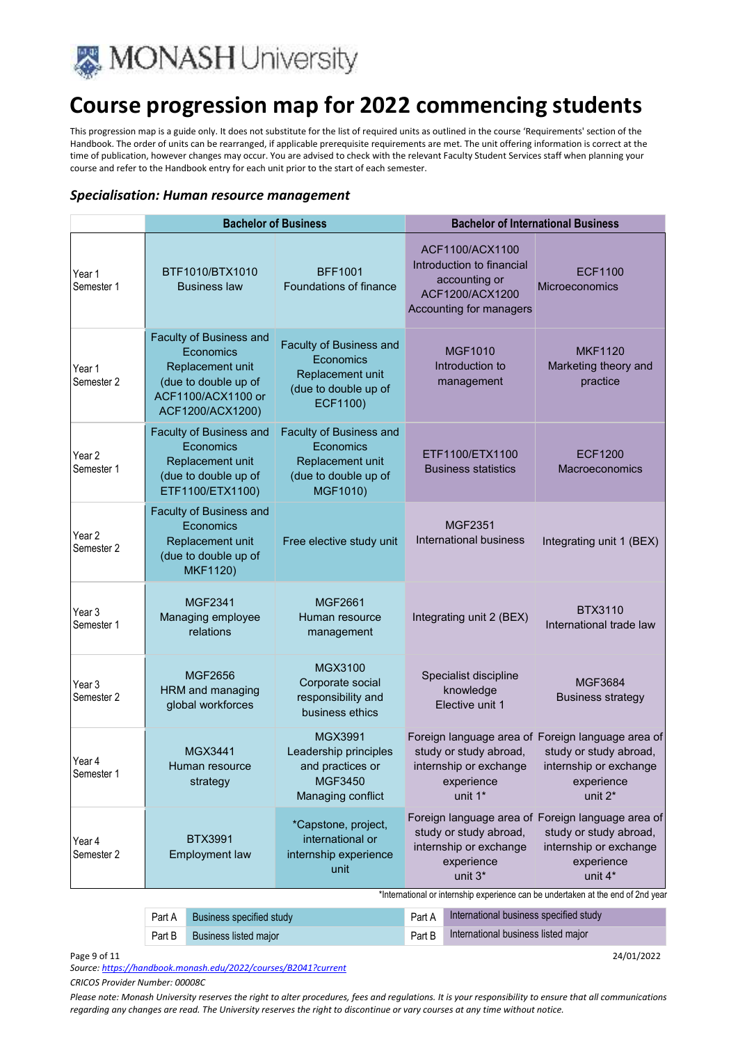

This progression map is a guide only. It does not substitute for the list of required units as outlined in the course 'Requirements' section of the Handbook. The order of units can be rearranged, if applicable prerequisite requirements are met. The unit offering information is correct at the time of publication, however changes may occur. You are advised to check with the relevant Faculty Student Services staff when planning your course and refer to the Handbook entry for each unit prior to the start of each semester.

#### *Specialisation: Human resource management*

|                                 | <b>Bachelor of Business</b>                                                                                                |                                                                                              | <b>Bachelor of International Business</b>                                                                                                                    |                                                                                                                                |
|---------------------------------|----------------------------------------------------------------------------------------------------------------------------|----------------------------------------------------------------------------------------------|--------------------------------------------------------------------------------------------------------------------------------------------------------------|--------------------------------------------------------------------------------------------------------------------------------|
| Year 1<br>Semester 1            | BTF1010/BTX1010<br><b>Business law</b>                                                                                     | <b>BFF1001</b><br>Foundations of finance                                                     | ACF1100/ACX1100<br>Introduction to financial<br>accounting or<br>ACF1200/ACX1200<br>Accounting for managers                                                  | <b>ECF1100</b><br><b>Microeconomics</b>                                                                                        |
| Year 1<br>Semester 2            | Faculty of Business and<br>Economics<br>Replacement unit<br>(due to double up of<br>ACF1100/ACX1100 or<br>ACF1200/ACX1200) | Faculty of Business and<br>Economics<br>Replacement unit<br>(due to double up of<br>ECF1100) | <b>MGF1010</b><br>Introduction to<br>management                                                                                                              | <b>MKF1120</b><br>Marketing theory and<br>practice                                                                             |
| Year <sub>2</sub><br>Semester 1 | Faculty of Business and<br>Economics<br>Replacement unit<br>(due to double up of<br>ETF1100/ETX1100)                       | Faculty of Business and<br>Economics<br>Replacement unit<br>(due to double up of<br>MGF1010) | ETF1100/ETX1100<br><b>Business statistics</b>                                                                                                                | <b>ECF1200</b><br>Macroeconomics                                                                                               |
| Year <sub>2</sub><br>Semester 2 | Faculty of Business and<br>Economics<br>Replacement unit<br>(due to double up of<br><b>MKF1120)</b>                        | Free elective study unit                                                                     | <b>MGF2351</b><br><b>International business</b>                                                                                                              | Integrating unit 1 (BEX)                                                                                                       |
| Year <sub>3</sub><br>Semester 1 | MGF2341<br>Managing employee<br>relations                                                                                  | <b>MGF2661</b><br>Human resource<br>management                                               | Integrating unit 2 (BEX)                                                                                                                                     | <b>BTX3110</b><br>International trade law                                                                                      |
| Year 3<br>Semester 2            | <b>MGF2656</b><br>HRM and managing<br>global workforces                                                                    | <b>MGX3100</b><br>Corporate social<br>responsibility and<br>business ethics                  | Specialist discipline<br>knowledge<br>Elective unit 1                                                                                                        | <b>MGF3684</b><br><b>Business strategy</b>                                                                                     |
| Year 4<br>Semester 1            | MGX3441<br>Human resource<br>strategy                                                                                      | MGX3991<br>Leadership principles<br>and practices or<br>MGF3450<br>Managing conflict         | study or study abroad,<br>internship or exchange<br>experience<br>unit 1*                                                                                    | Foreign language area of Foreign language area of<br>study or study abroad,<br>internship or exchange<br>experience<br>unit 2* |
| Year 4<br>Semester 2            | <b>BTX3991</b><br><b>Employment law</b>                                                                                    | *Capstone, project,<br>international or<br>internship experience<br>unit                     | study or study abroad,<br>internship or exchange<br>experience<br>unit 3*<br>*International or internship experience can be undertaken at the end of 2nd yea | Foreign language area of Foreign language area of<br>study or study abroad,<br>internship or exchange<br>experience<br>unit 4* |

| Part A Business specified study | Part A International business specified study |
|---------------------------------|-----------------------------------------------|
| Part B Business listed major    | Part B International business listed major    |

Page 9 of 11 24/01/2022

*Source: https://handbook.monash.edu/2022/courses/B2041?current*

*CRICOS Provider Number: 00008C*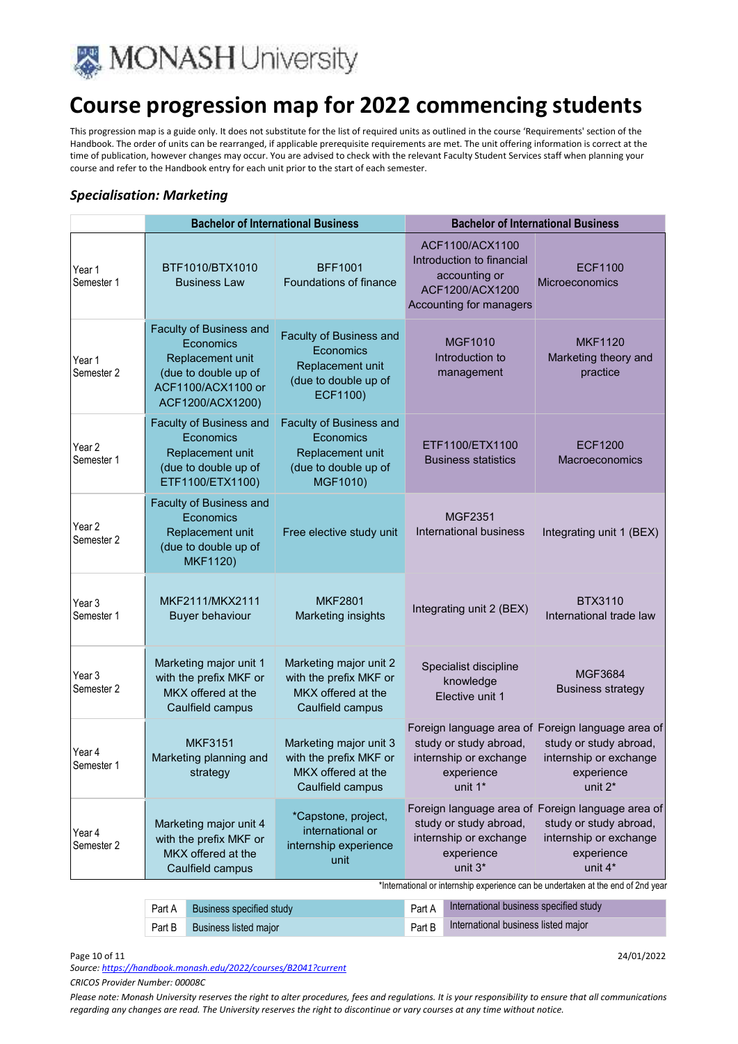

This progression map is a guide only. It does not substitute for the list of required units as outlined in the course 'Requirements' section of the Handbook. The order of units can be rearranged, if applicable prerequisite requirements are met. The unit offering information is correct at the time of publication, however changes may occur. You are advised to check with the relevant Faculty Student Services staff when planning your course and refer to the Handbook entry for each unit prior to the start of each semester.

#### *Specialisation: Marketing*

|                                 | <b>Bachelor of International Business</b>                                                                                  |                                                                                              | <b>Bachelor of International Business</b>                                                                   |                                                                                                                                            |
|---------------------------------|----------------------------------------------------------------------------------------------------------------------------|----------------------------------------------------------------------------------------------|-------------------------------------------------------------------------------------------------------------|--------------------------------------------------------------------------------------------------------------------------------------------|
| Year 1<br>Semester 1            | BTF1010/BTX1010<br><b>Business Law</b>                                                                                     | <b>BFF1001</b><br>Foundations of finance                                                     | ACF1100/ACX1100<br>Introduction to financial<br>accounting or<br>ACF1200/ACX1200<br>Accounting for managers | <b>ECF1100</b><br>Microeconomics                                                                                                           |
| Year 1<br>Semester 2            | Faculty of Business and<br>Economics<br>Replacement unit<br>(due to double up of<br>ACF1100/ACX1100 or<br>ACF1200/ACX1200) | Faculty of Business and<br>Economics<br>Replacement unit<br>(due to double up of<br>ECF1100) | <b>MGF1010</b><br>Introduction to<br>management                                                             | <b>MKF1120</b><br>Marketing theory and<br>practice                                                                                         |
| Year <sub>2</sub><br>Semester 1 | Faculty of Business and<br>Economics<br>Replacement unit<br>(due to double up of<br>ETF1100/ETX1100)                       | Faculty of Business and<br>Economics<br>Replacement unit<br>(due to double up of<br>MGF1010) | ETF1100/ETX1100<br><b>Business statistics</b>                                                               | <b>ECF1200</b><br>Macroeconomics                                                                                                           |
| Year 2<br>Semester 2            | Faculty of Business and<br>Economics<br>Replacement unit<br>(due to double up of<br><b>MKF1120)</b>                        | Free elective study unit                                                                     | <b>MGF2351</b><br><b>International business</b>                                                             | Integrating unit 1 (BEX)                                                                                                                   |
| Year 3<br>Semester 1            | MKF2111/MKX2111<br><b>Buyer behaviour</b>                                                                                  | <b>MKF2801</b><br>Marketing insights                                                         | Integrating unit 2 (BEX)                                                                                    | <b>BTX3110</b><br>International trade law                                                                                                  |
| Year 3<br>Semester 2            | Marketing major unit 1<br>with the prefix MKF or<br>MKX offered at the<br>Caulfield campus                                 | Marketing major unit 2<br>with the prefix MKF or<br>MKX offered at the<br>Caulfield campus   | Specialist discipline<br>knowledge<br>Elective unit 1                                                       | <b>MGF3684</b><br><b>Business strategy</b>                                                                                                 |
| Year 4<br>Semester 1            | <b>MKF3151</b><br>Marketing planning and<br>strategy                                                                       | Marketing major unit 3<br>with the prefix MKF or<br>MKX offered at the<br>Caulfield campus   | study or study abroad,<br>internship or exchange<br>experience<br>unit 1*                                   | Foreign language area of Foreign language area of<br>study or study abroad,<br>internship or exchange<br>experience<br>unit 2 <sup>*</sup> |
| Year 4<br>Semester 2            | Marketing major unit 4<br>with the prefix MKF or<br>MKX offered at the<br>Caulfield campus                                 | *Capstone, project,<br>international or<br>internship experience<br>unit                     | study or study abroad,<br>internship or exchange<br>experience<br>unit 3*                                   | Foreign language area of Foreign language area of<br>study or study abroad,<br>internship or exchange<br>experience<br>unit 4*             |
|                                 | *International or internship experience can be undertaken at the end of 2nd yea                                            |                                                                                              |                                                                                                             |                                                                                                                                            |
|                                 | Puninggo appoifing of usu<br>$DA + A$                                                                                      |                                                                                              | International husiness specified study                                                                      |                                                                                                                                            |

Part A Business specified study **Part A** International business specified study Part B Business listed major **Part B International business listed major** Part B International business listed major

Page 10 of 11 24/01/2022

*Source: https://handbook.monash.edu/2022/courses/B2041?current*

*CRICOS Provider Number: 00008C*